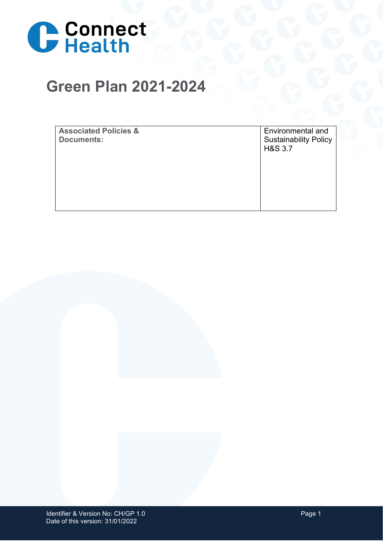

## **Green Plan 2021-2024**

**Associated Policies & Documents:**

Environmental and Sustainability Policy H&S 3.7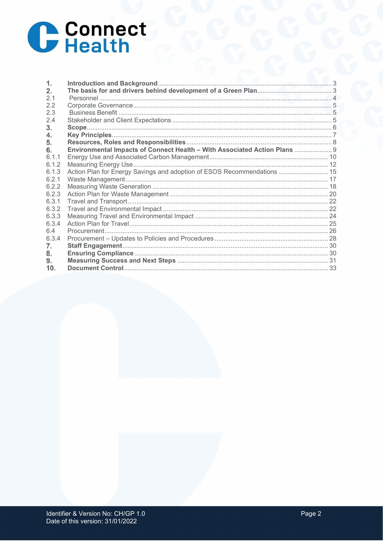

| $\mathbf{1}$ . |                                                                           |  |
|----------------|---------------------------------------------------------------------------|--|
| 2.             |                                                                           |  |
| 2.1            |                                                                           |  |
| 2.2            |                                                                           |  |
| 2.3            |                                                                           |  |
| 2.4            |                                                                           |  |
| 3.             |                                                                           |  |
| 4.             |                                                                           |  |
| 5.             |                                                                           |  |
| 6.             | Environmental Impacts of Connect Health - With Associated Action Plans  9 |  |
| 6.1.1          |                                                                           |  |
| 6.1.2          |                                                                           |  |
| 6.1.3          | Action Plan for Energy Savings and adoption of ESOS Recommendations  15   |  |
| 6.2.1          |                                                                           |  |
| 6.2.2          |                                                                           |  |
| 6.2.3          |                                                                           |  |
| 6.3.1          |                                                                           |  |
| 6.3.2          |                                                                           |  |
| 6.3.3          |                                                                           |  |
| 6.3.4          |                                                                           |  |
| 6.4            |                                                                           |  |
| 6.3.4          |                                                                           |  |
| 7.             |                                                                           |  |
| 8.             |                                                                           |  |
| 9.             |                                                                           |  |
| 10.            |                                                                           |  |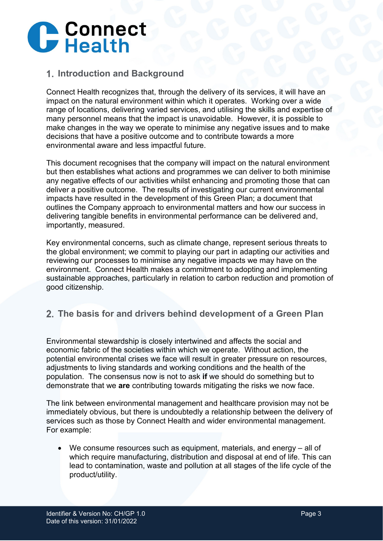

### <span id="page-2-0"></span>**Introduction and Background**

Connect Health recognizes that, through the delivery of its services, it will have an impact on the natural environment within which it operates. Working over a wide range of locations, delivering varied services, and utilising the skills and expertise of many personnel means that the impact is unavoidable. However, it is possible to make changes in the way we operate to minimise any negative issues and to make decisions that have a positive outcome and to contribute towards a more environmental aware and less impactful future.

This document recognises that the company will impact on the natural environment but then establishes what actions and programmes we can deliver to both minimise any negative effects of our activities whilst enhancing and promoting those that can deliver a positive outcome. The results of investigating our current environmental impacts have resulted in the development of this Green Plan; a document that outlines the Company approach to environmental matters and how our success in delivering tangible benefits in environmental performance can be delivered and, importantly, measured.

Key environmental concerns, such as climate change, represent serious threats to the global environment; we commit to playing our part in adapting our activities and reviewing our processes to minimise any negative impacts we may have on the environment. Connect Health makes a commitment to adopting and implementing sustainable approaches, particularly in relation to carbon reduction and promotion of good citizenship.

## <span id="page-2-1"></span>**The basis for and drivers behind development of a Green Plan**

Environmental stewardship is closely intertwined and affects the social and economic fabric of the societies within which we operate. Without action, the potential environmental crises we face will result in greater pressure on resources, adjustments to living standards and working conditions and the health of the population. The consensus now is not to ask **if** we should do something but to demonstrate that we **are** contributing towards mitigating the risks we now face.

The link between environmental management and healthcare provision may not be immediately obvious, but there is undoubtedly a relationship between the delivery of services such as those by Connect Health and wider environmental management. For example:

• We consume resources such as equipment, materials, and energy – all of which require manufacturing, distribution and disposal at end of life. This can lead to contamination, waste and pollution at all stages of the life cycle of the product/utility.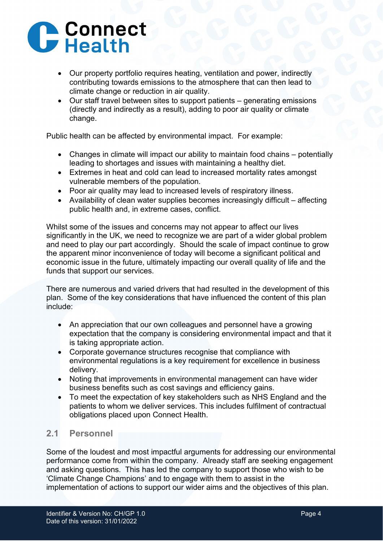## **C** Connect

- Our property portfolio requires heating, ventilation and power, indirectly contributing towards emissions to the atmosphere that can then lead to climate change or reduction in air quality.
- Our staff travel between sites to support patients generating emissions (directly and indirectly as a result), adding to poor air quality or climate change.

Public health can be affected by environmental impact. For example:

- Changes in climate will impact our ability to maintain food chains potentially leading to shortages and issues with maintaining a healthy diet.
- Extremes in heat and cold can lead to increased mortality rates amongst vulnerable members of the population.
- Poor air quality may lead to increased levels of respiratory illness.
- Availability of clean water supplies becomes increasingly difficult affecting public health and, in extreme cases, conflict.

Whilst some of the issues and concerns may not appear to affect our lives significantly in the UK, we need to recognize we are part of a wider global problem and need to play our part accordingly. Should the scale of impact continue to grow the apparent minor inconvenience of today will become a significant political and economic issue in the future, ultimately impacting our overall quality of life and the funds that support our services.

There are numerous and varied drivers that had resulted in the development of this plan. Some of the key considerations that have influenced the content of this plan include:

- An appreciation that our own colleagues and personnel have a growing expectation that the company is considering environmental impact and that it is taking appropriate action.
- Corporate governance structures recognise that compliance with environmental regulations is a key requirement for excellence in business delivery.
- Noting that improvements in environmental management can have wider business benefits such as cost savings and efficiency gains.
- To meet the expectation of key stakeholders such as NHS England and the patients to whom we deliver services. This includes fulfilment of contractual obligations placed upon Connect Health.

## <span id="page-3-0"></span>**2.1 Personnel**

Some of the loudest and most impactful arguments for addressing our environmental performance come from within the company. Already staff are seeking engagement and asking questions. This has led the company to support those who wish to be 'Climate Change Champions' and to engage with them to assist in the implementation of actions to support our wider aims and the objectives of this plan.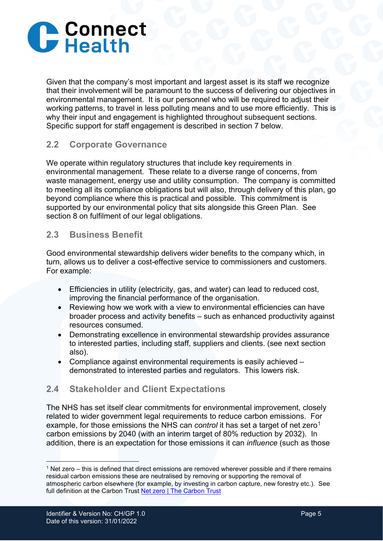

Given that the company's most important and largest asset is its staff we recognize that their involvement will be paramount to the success of delivering our objectives in environmental management. It is our personnel who will be required to adjust their working patterns, to travel in less polluting means and to use more efficiently. This is why their input and engagement is highlighted throughout subsequent sections. Specific support for staff engagement is described in section 7 below.

#### <span id="page-4-0"></span>**2.2 Corporate Governance**

We operate within regulatory structures that include key requirements in environmental management. These relate to a diverse range of concerns, from waste management, energy use and utility consumption. The company is committed to meeting all its compliance obligations but will also, through delivery of this plan, go beyond compliance where this is practical and possible. This commitment is supported by our environmental policy that sits alongside this Green Plan. See section 8 on fulfilment of our legal obligations.

#### <span id="page-4-1"></span>**2.3 Business Benefit**

Good environmental stewardship delivers wider benefits to the company which, in turn, allows us to deliver a cost-effective service to commissioners and customers. For example:

- Efficiencies in utility (electricity, gas, and water) can lead to reduced cost, improving the financial performance of the organisation.
- Reviewing how we work with a view to environmental efficiencies can have broader process and activity benefits – such as enhanced productivity against resources consumed.
- Demonstrating excellence in environmental stewardship provides assurance to interested parties, including staff, suppliers and clients. (see next section also).
- Compliance against environmental requirements is easily achieved demonstrated to interested parties and regulators. This lowers risk.

#### <span id="page-4-2"></span>**2.4 Stakeholder and Client Expectations**

The NHS has set itself clear commitments for environmental improvement, closely related to wider government legal requirements to reduce carbon emissions. For example, for those emissions the NHS can *control* it has set a target of net zero<sup>[1](#page-4-3)</sup> carbon emissions by 2040 (with an interim target of 80% reduction by 2032). In addition, there is an expectation for those emissions it can *influence* (such as those

<span id="page-4-3"></span><sup>1</sup> Net zero – this is defined that direct emissions are removed wherever possible and if there remains residual carbon emissions these are neutralised by removing or supporting the removal of atmospheric carbon elsewhere (for example, by investing in carbon capture, new forestry etc.). See full definition at the Carbon Trust [Net zero | The Carbon Trust](https://www.carbontrust.com/what-we-do/net-zero)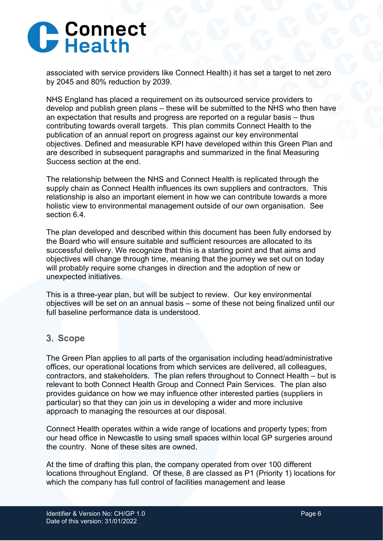

associated with service providers like Connect Health) it has set a target to net zero by 2045 and 80% reduction by 2039.

NHS England has placed a requirement on its outsourced service providers to develop and publish green plans – these will be submitted to the NHS who then have an expectation that results and progress are reported on a regular basis – thus contributing towards overall targets. This plan commits Connect Health to the publication of an annual report on progress against our key environmental objectives. Defined and measurable KPI have developed within this Green Plan and are described in subsequent paragraphs and summarized in the final Measuring Success section at the end.

The relationship between the NHS and Connect Health is replicated through the supply chain as Connect Health influences its own suppliers and contractors. This relationship is also an important element in how we can contribute towards a more holistic view to environmental management outside of our own organisation. See section 6.4.

The plan developed and described within this document has been fully endorsed by the Board who will ensure suitable and sufficient resources are allocated to its successful delivery. We recognize that this is a starting point and that aims and objectives will change through time, meaning that the journey we set out on today will probably require some changes in direction and the adoption of new or unexpected initiatives.

This is a three-year plan, but will be subject to review. Our key environmental objectives will be set on an annual basis – some of these not being finalized until our full baseline performance data is understood.

#### <span id="page-5-0"></span>**Scope**

The Green Plan applies to all parts of the organisation including head/administrative offices, our operational locations from which services are delivered, all colleagues, contractors, and stakeholders. The plan refers throughout to Connect Health – but is relevant to both Connect Health Group and Connect Pain Services. The plan also provides guidance on how we may influence other interested parties (suppliers in particular) so that they can join us in developing a wider and more inclusive approach to managing the resources at our disposal.

Connect Health operates within a wide range of locations and property types; from our head office in Newcastle to using small spaces within local GP surgeries around the country. None of these sites are owned.

At the time of drafting this plan, the company operated from over 100 different locations throughout England. Of these, 8 are classed as P1 (Priority 1) locations for which the company has full control of facilities management and lease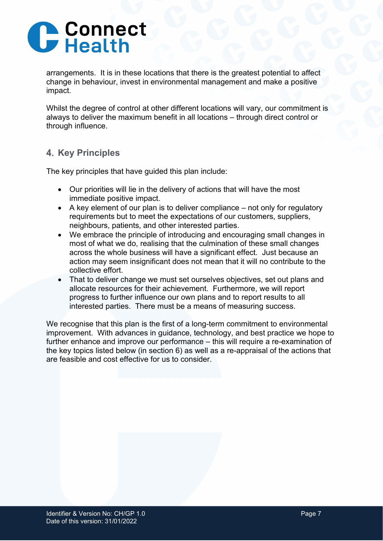

arrangements. It is in these locations that there is the greatest potential to affect change in behaviour, invest in environmental management and make a positive impact.

Whilst the degree of control at other different locations will vary, our commitment is always to deliver the maximum benefit in all locations – through direct control or through influence.

## <span id="page-6-0"></span>**4. Key Principles**

The key principles that have guided this plan include:

- Our priorities will lie in the delivery of actions that will have the most immediate positive impact.
- A key element of our plan is to deliver compliance not only for regulatory requirements but to meet the expectations of our customers, suppliers, neighbours, patients, and other interested parties.
- We embrace the principle of introducing and encouraging small changes in most of what we do, realising that the culmination of these small changes across the whole business will have a significant effect. Just because an action may seem insignificant does not mean that it will no contribute to the collective effort.
- That to deliver change we must set ourselves objectives, set out plans and allocate resources for their achievement. Furthermore, we will report progress to further influence our own plans and to report results to all interested parties. There must be a means of measuring success.

<span id="page-6-1"></span>We recognise that this plan is the first of a long-term commitment to environmental improvement. With advances in guidance, technology, and best practice we hope to further enhance and improve our performance – this will require a re-examination of the key topics listed below (in section 6) as well as a re-appraisal of the actions that are feasible and cost effective for us to consider.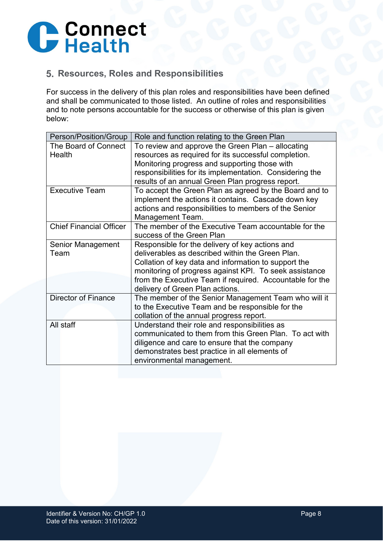

### **Resources, Roles and Responsibilities**

For success in the delivery of this plan roles and responsibilities have been defined and shall be communicated to those listed. An outline of roles and responsibilities and to note persons accountable for the success or otherwise of this plan is given below:

<span id="page-7-0"></span>

| Person/Position/Group          | Role and function relating to the Green Plan             |  |
|--------------------------------|----------------------------------------------------------|--|
| The Board of Connect           | To review and approve the Green Plan – allocating        |  |
| Health                         | resources as required for its successful completion.     |  |
|                                | Monitoring progress and supporting those with            |  |
|                                | responsibilities for its implementation. Considering the |  |
|                                | results of an annual Green Plan progress report.         |  |
| <b>Executive Team</b>          | To accept the Green Plan as agreed by the Board and to   |  |
|                                | implement the actions it contains. Cascade down key      |  |
|                                | actions and responsibilities to members of the Senior    |  |
|                                | Management Team.                                         |  |
| <b>Chief Financial Officer</b> | The member of the Executive Team accountable for the     |  |
|                                | success of the Green Plan                                |  |
| Senior Management              | Responsible for the delivery of key actions and          |  |
| Team                           | deliverables as described within the Green Plan.         |  |
|                                | Collation of key data and information to support the     |  |
|                                | monitoring of progress against KPI. To seek assistance   |  |
|                                | from the Executive Team if required. Accountable for the |  |
|                                | delivery of Green Plan actions.                          |  |
| <b>Director of Finance</b>     | The member of the Senior Management Team who will it     |  |
|                                | to the Executive Team and be responsible for the         |  |
|                                | collation of the annual progress report.                 |  |
| All staff                      | Understand their role and responsibilities as            |  |
|                                | communicated to them from this Green Plan. To act with   |  |
|                                | diligence and care to ensure that the company            |  |
|                                | demonstrates best practice in all elements of            |  |
|                                | environmental management.                                |  |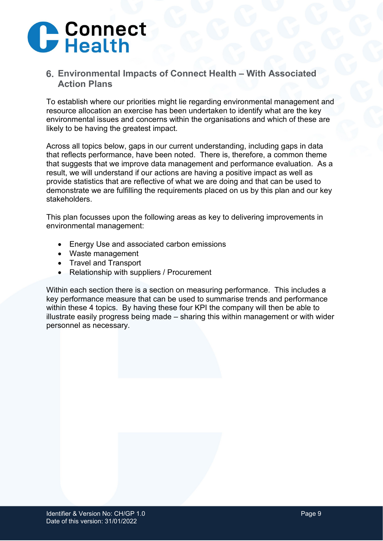

### **Environmental Impacts of Connect Health – With Associated Action Plans**

To establish where our priorities might lie regarding environmental management and resource allocation an exercise has been undertaken to identify what are the key environmental issues and concerns within the organisations and which of these are likely to be having the greatest impact.

Across all topics below, gaps in our current understanding, including gaps in data that reflects performance, have been noted. There is, therefore, a common theme that suggests that we improve data management and performance evaluation. As a result, we will understand if our actions are having a positive impact as well as provide statistics that are reflective of what we are doing and that can be used to demonstrate we are fulfilling the requirements placed on us by this plan and our key stakeholders.

This plan focusses upon the following areas as key to delivering improvements in environmental management:

- Energy Use and associated carbon emissions
- Waste management
- Travel and Transport
- Relationship with suppliers / Procurement

Within each section there is a section on measuring performance. This includes a key performance measure that can be used to summarise trends and performance within these 4 topics. By having these four KPI the company will then be able to illustrate easily progress being made – sharing this within management or with wider personnel as necessary.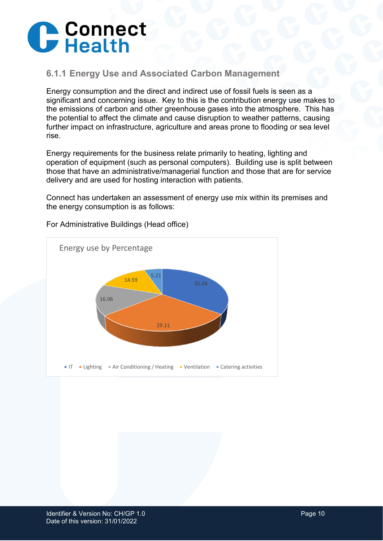

### <span id="page-9-0"></span>**6.1.1 Energy Use and Associated Carbon Management**

Energy consumption and the direct and indirect use of fossil fuels is seen as a significant and concerning issue. Key to this is the contribution energy use makes to the emissions of carbon and other greenhouse gases into the atmosphere. This has the potential to affect the climate and cause disruption to weather patterns, causing further impact on infrastructure, agriculture and areas prone to flooding or sea level rise.

Energy requirements for the business relate primarily to heating, lighting and operation of equipment (such as personal computers). Building use is split between those that have an administrative/managerial function and those that are for service delivery and are used for hosting interaction with patients.

Connect has undertaken an assessment of energy use mix within its premises and the energy consumption is as follows:



For Administrative Buildings (Head office)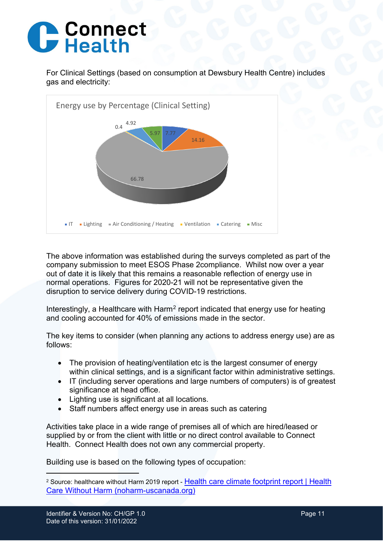## **C** Connect

For Clinical Settings (based on consumption at Dewsbury Health Centre) includes gas and electricity:



The above information was established during the surveys completed as part of the company submission to meet ESOS Phase 2compliance. Whilst now over a year out of date it is likely that this remains a reasonable reflection of energy use in normal operations. Figures for 2020-21 will not be representative given the disruption to service delivery during COVID-19 restrictions.

Interestingly, a Healthcare with Harm<sup>[2](#page-10-0)</sup> report indicated that energy use for heating and cooling accounted for 40% of emissions made in the sector.

The key items to consider (when planning any actions to address energy use) are as follows:

- The provision of heating/ventilation etc is the largest consumer of energy within clinical settings, and is a significant factor within administrative settings.
- IT (including server operations and large numbers of computers) is of greatest significance at head office.
- Lighting use is significant at all locations.
- Staff numbers affect energy use in areas such as catering

Activities take place in a wide range of premises all of which are hired/leased or supplied by or from the client with little or no direct control available to Connect Health. Connect Health does not own any commercial property.

Building use is based on the following types of occupation:

<span id="page-10-0"></span><sup>&</sup>lt;sup>2</sup> Source: healthcare without Harm 2019 report - Health care climate footprint report | Health [Care Without Harm \(noharm-uscanada.org\)](https://noharm-uscanada.org/content/global/health-care-climate-footprint-report)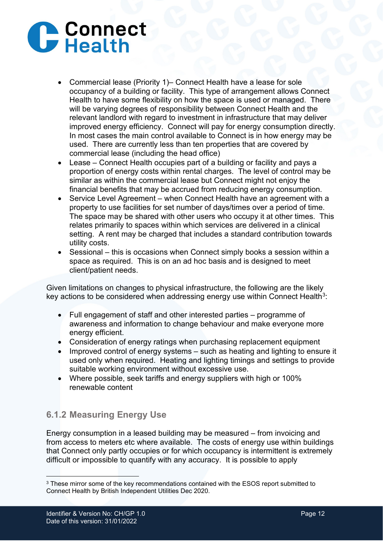# **C** Connect

- Commercial lease (Priority 1)– Connect Health have a lease for sole occupancy of a building or facility. This type of arrangement allows Connect Health to have some flexibility on how the space is used or managed. There will be varying degrees of responsibility between Connect Health and the relevant landlord with regard to investment in infrastructure that may deliver improved energy efficiency. Connect will pay for energy consumption directly. In most cases the main control available to Connect is in how energy may be used. There are currently less than ten properties that are covered by commercial lease (including the head office)
- Lease Connect Health occupies part of a building or facility and pays a proportion of energy costs within rental charges. The level of control may be similar as within the commercial lease but Connect might not enjoy the financial benefits that may be accrued from reducing energy consumption.
- Service Level Agreement when Connect Health have an agreement with a property to use facilities for set number of days/times over a period of time. The space may be shared with other users who occupy it at other times. This relates primarily to spaces within which services are delivered in a clinical setting. A rent may be charged that includes a standard contribution towards utility costs.
- Sessional this is occasions when Connect simply books a session within a space as required. This is on an ad hoc basis and is designed to meet client/patient needs.

Given limitations on changes to physical infrastructure, the following are the likely key actions to be considered when addressing energy use within Connect Health<sup>3</sup>:

- Full engagement of staff and other interested parties programme of awareness and information to change behaviour and make everyone more energy efficient.
- Consideration of energy ratings when purchasing replacement equipment
- Improved control of energy systems such as heating and lighting to ensure it used only when required. Heating and lighting timings and settings to provide suitable working environment without excessive use.
- Where possible, seek tariffs and energy suppliers with high or 100% renewable content

## <span id="page-11-0"></span>**6.1.2 Measuring Energy Use**

Energy consumption in a leased building may be measured – from invoicing and from access to meters etc where available. The costs of energy use within buildings that Connect only partly occupies or for which occupancy is intermittent is extremely difficult or impossible to quantify with any accuracy. It is possible to apply

<span id="page-11-1"></span><sup>&</sup>lt;sup>3</sup> These mirror some of the key recommendations contained with the ESOS report submitted to Connect Health by British Independent Utilities Dec 2020.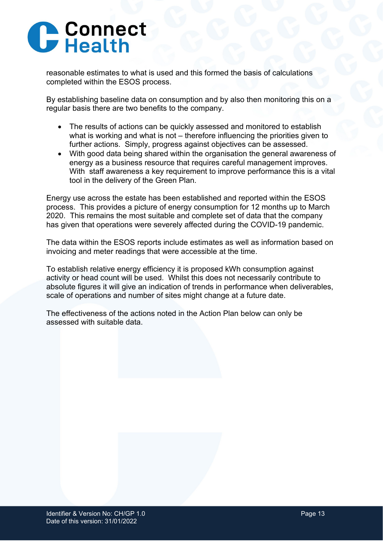

reasonable estimates to what is used and this formed the basis of calculations completed within the ESOS process.

By establishing baseline data on consumption and by also then monitoring this on a regular basis there are two benefits to the company.

- The results of actions can be quickly assessed and monitored to establish what is working and what is not – therefore influencing the priorities given to further actions. Simply, progress against objectives can be assessed.
- With good data being shared within the organisation the general awareness of energy as a business resource that requires careful management improves. With staff awareness a key requirement to improve performance this is a vital tool in the delivery of the Green Plan.

Energy use across the estate has been established and reported within the ESOS process. This provides a picture of energy consumption for 12 months up to March 2020. This remains the most suitable and complete set of data that the company has given that operations were severely affected during the COVID-19 pandemic.

The data within the ESOS reports include estimates as well as information based on invoicing and meter readings that were accessible at the time.

To establish relative energy efficiency it is proposed kWh consumption against activity or head count will be used. Whilst this does not necessarily contribute to absolute figures it will give an indication of trends in performance when deliverables, scale of operations and number of sites might change at a future date.

The effectiveness of the actions noted in the Action Plan below can only be assessed with suitable data.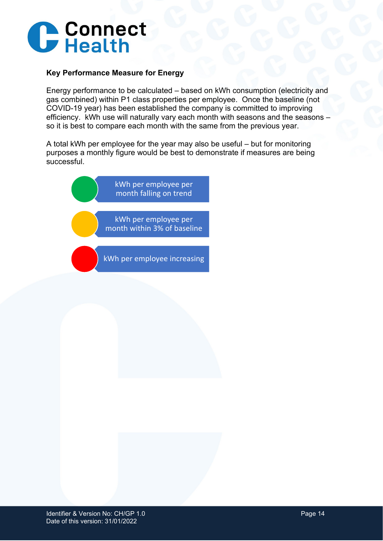

#### **Key Performance Measure for Energy**

Energy performance to be calculated – based on kWh consumption (electricity and gas combined) within P1 class properties per employee. Once the baseline (not COVID-19 year) has been established the company is committed to improving efficiency. kWh use will naturally vary each month with seasons and the seasons – so it is best to compare each month with the same from the previous year.

A total kWh per employee for the year may also be useful – but for monitoring purposes a monthly figure would be best to demonstrate if measures are being successful.

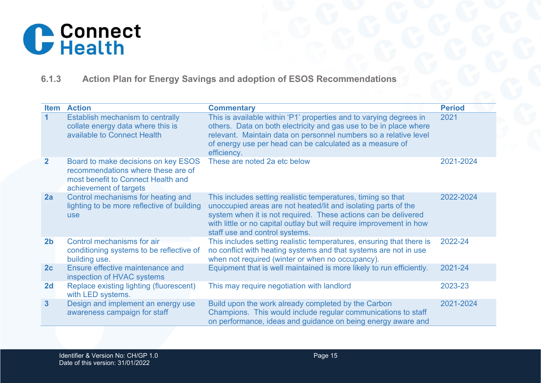

## **6.1.3 Action Plan for Energy Savings and adoption of ESOS Recommendations**

<span id="page-14-0"></span>

| <b>Item</b>    | <b>Action</b>                                                                                                                             | <b>Commentary</b>                                                                                                                                                                                                                                                                                          | <b>Period</b> |
|----------------|-------------------------------------------------------------------------------------------------------------------------------------------|------------------------------------------------------------------------------------------------------------------------------------------------------------------------------------------------------------------------------------------------------------------------------------------------------------|---------------|
| $\mathbf 1$    | Establish mechanism to centrally<br>collate energy data where this is<br>available to Connect Health                                      | This is available within 'P1' properties and to varying degrees in<br>others. Data on both electricity and gas use to be in place where<br>relevant. Maintain data on personnel numbers so a relative level<br>of energy use per head can be calculated as a measure of<br>efficiency.                     | 2021          |
| $\overline{2}$ | Board to make decisions on key ESOS<br>recommendations where these are of<br>most benefit to Connect Health and<br>achievement of targets | These are noted 2a etc below                                                                                                                                                                                                                                                                               | 2021-2024     |
| 2a             | Control mechanisms for heating and<br>lighting to be more reflective of building<br><b>use</b>                                            | This includes setting realistic temperatures, timing so that<br>unoccupied areas are not heated/lit and isolating parts of the<br>system when it is not required. These actions can be delivered<br>with little or no capital outlay but will require improvement in how<br>staff use and control systems. | 2022-2024     |
| 2 <sub>b</sub> | Control mechanisms for air<br>conditioning systems to be reflective of<br>building use.                                                   | This includes setting realistic temperatures, ensuring that there is<br>no conflict with heating systems and that systems are not in use<br>when not required (winter or when no occupancy).                                                                                                               | 2022-24       |
| 2c             | Ensure effective maintenance and<br>inspection of HVAC systems                                                                            | Equipment that is well maintained is more likely to run efficiently.                                                                                                                                                                                                                                       | 2021-24       |
| 2d             | Replace existing lighting (fluorescent)<br>with LED systems.                                                                              | This may require negotiation with landlord                                                                                                                                                                                                                                                                 | 2023-23       |
| 3 <sup>1</sup> | Design and implement an energy use<br>awareness campaign for staff                                                                        | Build upon the work already completed by the Carbon<br>Champions. This would include regular communications to staff<br>on performance, ideas and guidance on being energy aware and                                                                                                                       | 2021-2024     |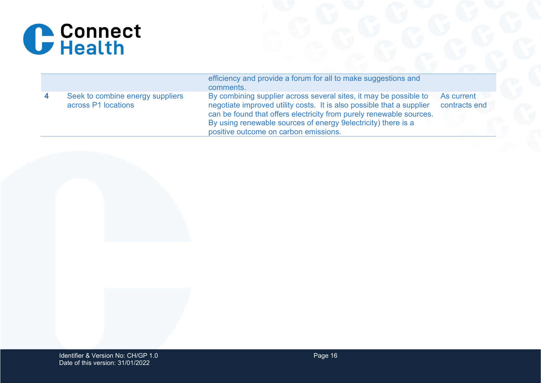

|                                                         | efficiency and provide a forum for all to make suggestions and<br>comments.                                                                                                                                                                                                                                                  |                             |
|---------------------------------------------------------|------------------------------------------------------------------------------------------------------------------------------------------------------------------------------------------------------------------------------------------------------------------------------------------------------------------------------|-----------------------------|
| Seek to combine energy suppliers<br>across P1 locations | By combining supplier across several sites, it may be possible to<br>negotiate improved utility costs. It is also possible that a supplier<br>can be found that offers electricity from purely renewable sources.<br>By using renewable sources of energy 9 electricity) there is a<br>positive outcome on carbon emissions. | As current<br>contracts end |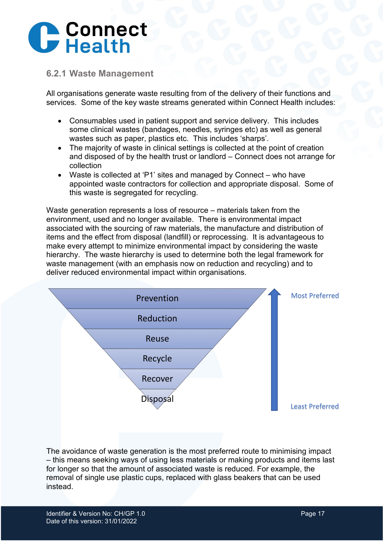

#### <span id="page-16-0"></span>**6.2.1 Waste Management**

All organisations generate waste resulting from of the delivery of their functions and services. Some of the key waste streams generated within Connect Health includes:

- Consumables used in patient support and service delivery. This includes some clinical wastes (bandages, needles, syringes etc) as well as general wastes such as paper, plastics etc. This includes 'sharps'.
- The majority of waste in clinical settings is collected at the point of creation and disposed of by the health trust or landlord – Connect does not arrange for collection
- Waste is collected at 'P1' sites and managed by Connect who have appointed waste contractors for collection and appropriate disposal. Some of this waste is segregated for recycling.

Waste generation represents a loss of resource – materials taken from the environment, used and no longer available. There is environmental impact associated with the sourcing of raw materials, the manufacture and distribution of items and the effect from disposal (landfill) or reprocessing. It is advantageous to make every attempt to minimize environmental impact by considering the waste hierarchy. The waste hierarchy is used to determine both the legal framework for waste management (with an emphasis now on reduction and recycling) and to deliver reduced environmental impact within organisations.



The avoidance of waste generation is the most preferred route to minimising impact – this means seeking ways of using less materials or making products and items last for longer so that the amount of associated waste is reduced. For example, the removal of single use plastic cups, replaced with glass beakers that can be used instead.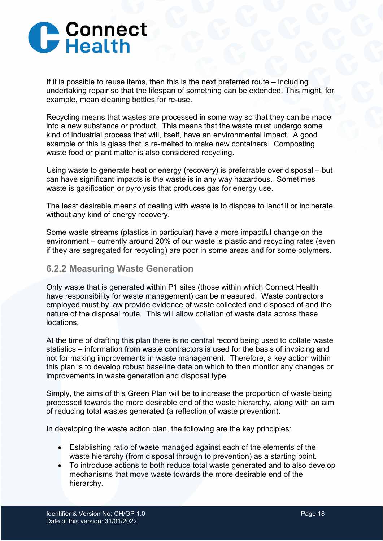

If it is possible to reuse items, then this is the next preferred route – including undertaking repair so that the lifespan of something can be extended. This might, for example, mean cleaning bottles for re-use.

Recycling means that wastes are processed in some way so that they can be made into a new substance or product. This means that the waste must undergo some kind of industrial process that will, itself, have an environmental impact. A good example of this is glass that is re-melted to make new containers. Composting waste food or plant matter is also considered recycling.

Using waste to generate heat or energy (recovery) is preferrable over disposal – but can have significant impacts is the waste is in any way hazardous. Sometimes waste is gasification or pyrolysis that produces gas for energy use.

The least desirable means of dealing with waste is to dispose to landfill or incinerate without any kind of energy recovery.

Some waste streams (plastics in particular) have a more impactful change on the environment – currently around 20% of our waste is plastic and recycling rates (even if they are segregated for recycling) are poor in some areas and for some polymers.

#### <span id="page-17-0"></span>**6.2.2 Measuring Waste Generation**

Only waste that is generated within P1 sites (those within which Connect Health have responsibility for waste management) can be measured. Waste contractors employed must by law provide evidence of waste collected and disposed of and the nature of the disposal route. This will allow collation of waste data across these locations.

At the time of drafting this plan there is no central record being used to collate waste statistics – information from waste contractors is used for the basis of invoicing and not for making improvements in waste management. Therefore, a key action within this plan is to develop robust baseline data on which to then monitor any changes or improvements in waste generation and disposal type.

Simply, the aims of this Green Plan will be to increase the proportion of waste being processed towards the more desirable end of the waste hierarchy, along with an aim of reducing total wastes generated (a reflection of waste prevention).

In developing the waste action plan, the following are the key principles:

- Establishing ratio of waste managed against each of the elements of the waste hierarchy (from disposal through to prevention) as a starting point.
- To introduce actions to both reduce total waste generated and to also develop mechanisms that move waste towards the more desirable end of the hierarchy.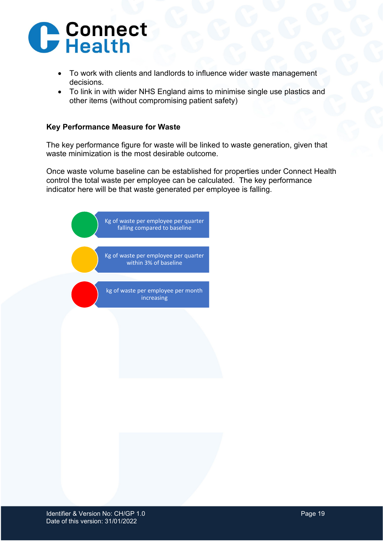

- To work with clients and landlords to influence wider waste management decisions.
- To link in with wider NHS England aims to minimise single use plastics and other items (without compromising patient safety)

#### **Key Performance Measure for Waste**

The key performance figure for waste will be linked to waste generation, given that waste minimization is the most desirable outcome.

Once waste volume baseline can be established for properties under Connect Health control the total waste per employee can be calculated. The key performance indicator here will be that waste generated per employee is falling.

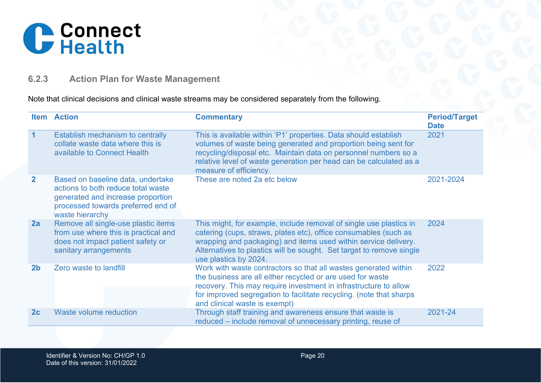

## **6.2.3 Action Plan for Waste Management**

#### Note that clinical decisions and clinical waste streams may be considered separately from the following.

<span id="page-19-0"></span>

|                | <b>Item Action</b>                                                                                                                                                    | <b>Commentary</b>                                                                                                                                                                                                                                                                                          | <b>Period/Target</b><br><b>Date</b> |
|----------------|-----------------------------------------------------------------------------------------------------------------------------------------------------------------------|------------------------------------------------------------------------------------------------------------------------------------------------------------------------------------------------------------------------------------------------------------------------------------------------------------|-------------------------------------|
| $\overline{1}$ | Establish mechanism to centrally<br>collate waste data where this is<br>available to Connect Health                                                                   | This is available within 'P1' properties. Data should establish<br>volumes of waste being generated and proportion being sent for<br>recycling/disposal etc. Maintain data on personnel numbers so a<br>relative level of waste generation per head can be calculated as a<br>measure of efficiency.       | 2021                                |
| $\overline{2}$ | Based on baseline data, undertake<br>actions to both reduce total waste<br>generated and increase proportion<br>processed towards preferred end of<br>waste hierarchy | These are noted 2a etc below                                                                                                                                                                                                                                                                               | 2021-2024                           |
| 2a             | Remove all single-use plastic items<br>from use where this is practical and<br>does not impact patient safety or<br>sanitary arrangements                             | This might, for example, include removal of single use plastics in<br>catering (cups, straws, plates etc), office consumables (such as<br>wrapping and packaging) and items used within service delivery.<br>Alternatives to plastics will be sought. Set target to remove single<br>use plastics by 2024. | 2024                                |
| 2 <sub>b</sub> | Zero waste to landfill                                                                                                                                                | Work with waste contractors so that all wastes generated within<br>the business are all either recycled or are used for waste<br>recovery. This may require investment in infrastructure to allow<br>for improved segregation to facilitate recycling. (note that sharps<br>and clinical waste is exempt)  | 2022                                |
| 2c             | Waste volume reduction                                                                                                                                                | Through staff training and awareness ensure that waste is<br>reduced – include removal of unnecessary printing, reuse of                                                                                                                                                                                   | 2021-24                             |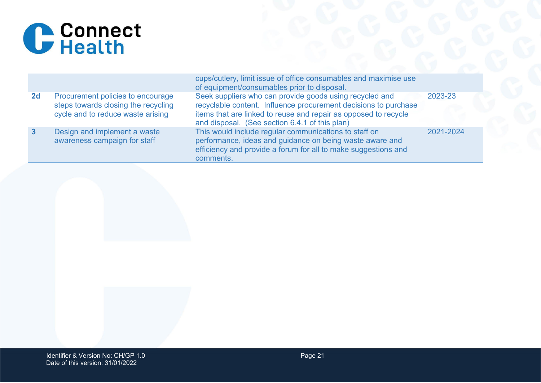

|    |                                                                                                               | cups/cutlery, limit issue of office consumables and maximise use<br>of equipment/consumables prior to disposal.                                                                                                                                 |           |
|----|---------------------------------------------------------------------------------------------------------------|-------------------------------------------------------------------------------------------------------------------------------------------------------------------------------------------------------------------------------------------------|-----------|
| 2d | Procurement policies to encourage<br>steps towards closing the recycling<br>cycle and to reduce waste arising | Seek suppliers who can provide goods using recycled and<br>recyclable content. Influence procurement decisions to purchase<br>items that are linked to reuse and repair as opposed to recycle<br>and disposal. (See section 6.4.1 of this plan) | 2023-23   |
| -3 | Design and implement a waste<br>awareness campaign for staff                                                  | This would include regular communications to staff on<br>performance, ideas and guidance on being waste aware and<br>efficiency and provide a forum for all to make suggestions and<br>comments.                                                | 2021-2024 |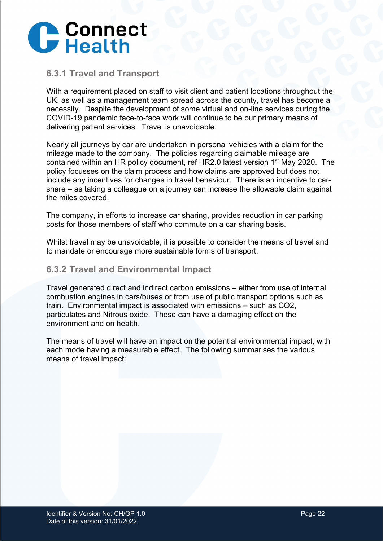

#### <span id="page-21-0"></span>**6.3.1 Travel and Transport**

With a requirement placed on staff to visit client and patient locations throughout the UK, as well as a management team spread across the county, travel has become a necessity. Despite the development of some virtual and on-line services during the COVID-19 pandemic face-to-face work will continue to be our primary means of delivering patient services. Travel is unavoidable.

Nearly all journeys by car are undertaken in personal vehicles with a claim for the mileage made to the company. The policies regarding claimable mileage are contained within an HR policy document, ref HR2.0 latest version 1<sup>st</sup> May 2020. The policy focusses on the claim process and how claims are approved but does not include any incentives for changes in travel behaviour. There is an incentive to carshare – as taking a colleague on a journey can increase the allowable claim against the miles covered.

The company, in efforts to increase car sharing, provides reduction in car parking costs for those members of staff who commute on a car sharing basis.

Whilst travel may be unavoidable, it is possible to consider the means of travel and to mandate or encourage more sustainable forms of transport.

#### <span id="page-21-1"></span>**6.3.2 Travel and Environmental Impact**

Travel generated direct and indirect carbon emissions – either from use of internal combustion engines in cars/buses or from use of public transport options such as train. Environmental impact is associated with emissions – such as CO2, particulates and Nitrous oxide. These can have a damaging effect on the environment and on health.

The means of travel will have an impact on the potential environmental impact, with each mode having a measurable effect. The following summarises the various means of travel impact: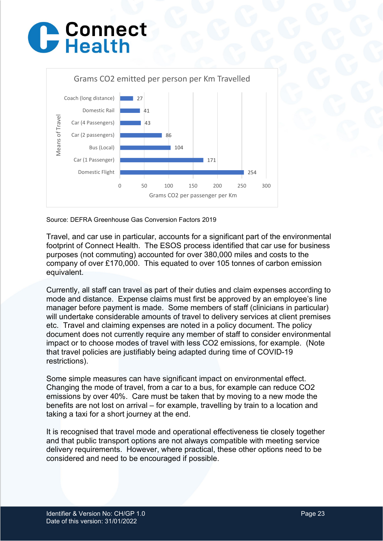## C Connect



Source: DEFRA Greenhouse Gas Conversion Factors 2019

Travel, and car use in particular, accounts for a significant part of the environmental footprint of Connect Health. The ESOS process identified that car use for business purposes (not commuting) accounted for over 380,000 miles and costs to the company of over £170,000. This equated to over 105 tonnes of carbon emission equivalent.

Currently, all staff can travel as part of their duties and claim expenses according to mode and distance. Expense claims must first be approved by an employee's line manager before payment is made. Some members of staff (clinicians in particular) will undertake considerable amounts of travel to delivery services at client premises etc. Travel and claiming expenses are noted in a policy document. The policy document does not currently require any member of staff to consider environmental impact or to choose modes of travel with less CO2 emissions, for example. (Note that travel policies are justifiably being adapted during time of COVID-19 restrictions).

Some simple measures can have significant impact on environmental effect. Changing the mode of travel, from a car to a bus, for example can reduce CO2 emissions by over 40%. Care must be taken that by moving to a new mode the benefits are not lost on arrival – for example, travelling by train to a location and taking a taxi for a short journey at the end.

It is recognised that travel mode and operational effectiveness tie closely together and that public transport options are not always compatible with meeting service delivery requirements. However, where practical, these other options need to be considered and need to be encouraged if possible.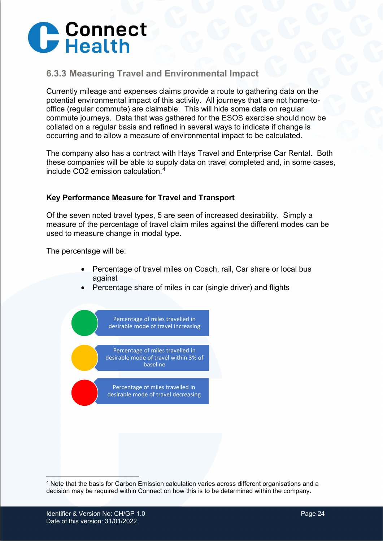

### <span id="page-23-0"></span>**6.3.3 Measuring Travel and Environmental Impact**

Currently mileage and expenses claims provide a route to gathering data on the potential environmental impact of this activity. All journeys that are not home-tooffice (regular commute) are claimable. This will hide some data on regular commute journeys. Data that was gathered for the ESOS exercise should now be collated on a regular basis and refined in several ways to indicate if change is occurring and to allow a measure of environmental impact to be calculated.

The company also has a contract with Hays Travel and Enterprise Car Rental. Both these companies will be able to supply data on travel completed and, in some cases, include CO2 emission calculation.[4](#page-23-1)

#### **Key Performance Measure for Travel and Transport**

Of the seven noted travel types, 5 are seen of increased desirability. Simply a measure of the percentage of travel claim miles against the different modes can be used to measure change in modal type.

The percentage will be:

- Percentage of travel miles on Coach, rail, Car share or local bus against
- Percentage share of miles in car (single driver) and flights



<span id="page-23-1"></span><sup>4</sup> Note that the basis for Carbon Emission calculation varies across different organisations and a decision may be required within Connect on how this is to be determined within the company.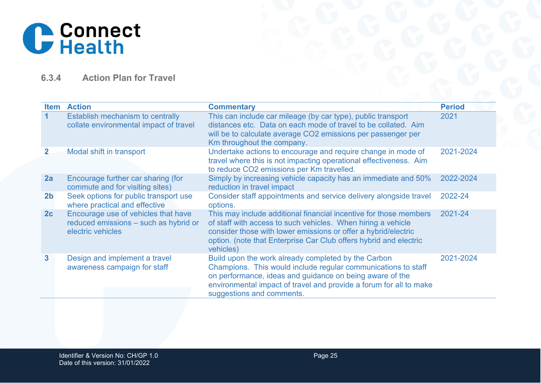

## **6.3.4 Action Plan for Travel**

<span id="page-24-0"></span>

| <b>Item</b>    | <b>Action</b>                                                                                     | <b>Commentary</b>                                                                                                                                                                                                                                                                     | <b>Period</b> |
|----------------|---------------------------------------------------------------------------------------------------|---------------------------------------------------------------------------------------------------------------------------------------------------------------------------------------------------------------------------------------------------------------------------------------|---------------|
| 1.             | Establish mechanism to centrally<br>collate environmental impact of travel                        | This can include car mileage (by car type), public transport<br>distances etc. Data on each mode of travel to be collated. Aim<br>will be to calculate average CO2 emissions per passenger per<br>Km throughout the company.                                                          | 2021          |
| $\mathbf{2}$   | Modal shift in transport                                                                          | Undertake actions to encourage and require change in mode of<br>travel where this is not impacting operational effectiveness. Aim<br>to reduce CO2 emissions per Km travelled.                                                                                                        | 2021-2024     |
| 2a             | Encourage further car sharing (for<br>commute and for visiting sites)                             | Simply by increasing vehicle capacity has an immediate and 50%<br>reduction in travel impact                                                                                                                                                                                          | 2022-2024     |
| 2 <sub>b</sub> | Seek options for public transport use<br>where practical and effective                            | Consider staff appointments and service delivery alongside travel<br>options.                                                                                                                                                                                                         | 2022-24       |
| 2c             | Encourage use of vehicles that have<br>reduced emissions - such as hybrid or<br>electric vehicles | This may include additional financial incentive for those members<br>of staff with access to such vehicles. When hiring a vehicle<br>consider those with lower emissions or offer a hybrid/electric<br>option. (note that Enterprise Car Club offers hybrid and electric<br>vehicles) | 2021-24       |
| $\mathbf{3}$   | Design and implement a travel<br>awareness campaign for staff                                     | Build upon the work already completed by the Carbon<br>Champions. This would include regular communications to staff<br>on performance, ideas and guidance on being aware of the<br>environmental impact of travel and provide a forum for all to make<br>suggestions and comments.   | 2021-2024     |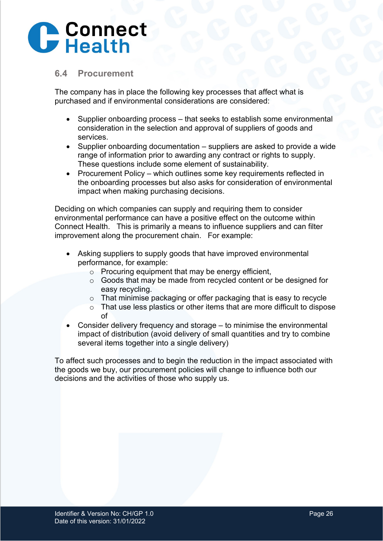

#### <span id="page-25-0"></span>**6.4 Procurement**

The company has in place the following key processes that affect what is purchased and if environmental considerations are considered:

- Supplier onboarding process that seeks to establish some environmental consideration in the selection and approval of suppliers of goods and services.
- Supplier onboarding documentation suppliers are asked to provide a wide range of information prior to awarding any contract or rights to supply. These questions include some element of sustainability.
- Procurement Policy which outlines some key requirements reflected in the onboarding processes but also asks for consideration of environmental impact when making purchasing decisions.

Deciding on which companies can supply and requiring them to consider environmental performance can have a positive effect on the outcome within Connect Health. This is primarily a means to influence suppliers and can filter improvement along the procurement chain. For example:

- Asking suppliers to supply goods that have improved environmental performance, for example:
	- $\circ$  Procuring equipment that may be energy efficient,
	- o Goods that may be made from recycled content or be designed for easy recycling.
	- o That minimise packaging or offer packaging that is easy to recycle
	- o That use less plastics or other items that are more difficult to dispose of
- Consider delivery frequency and storage to minimise the environmental impact of distribution (avoid delivery of small quantities and try to combine several items together into a single delivery)

To affect such processes and to begin the reduction in the impact associated with the goods we buy, our procurement policies will change to influence both our decisions and the activities of those who supply us.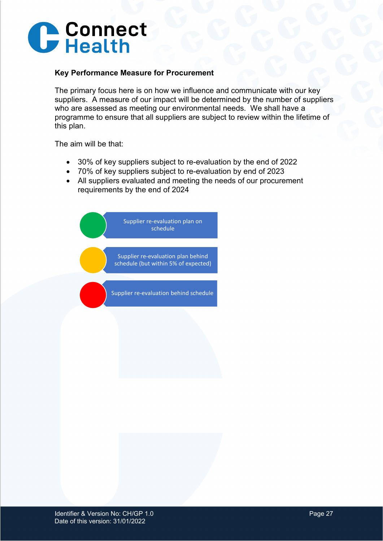

#### **Key Performance Measure for Procurement**

The primary focus here is on how we influence and communicate with our key suppliers. A measure of our impact will be determined by the number of suppliers who are assessed as meeting our environmental needs. We shall have a programme to ensure that all suppliers are subject to review within the lifetime of this plan.

The aim will be that:

- 30% of key suppliers subject to re-evaluation by the end of 2022
- 70% of key suppliers subject to re-evaluation by end of 2023
- All suppliers evaluated and meeting the needs of our procurement requirements by the end of 2024

Supplier re-evaluation plan on schedule Supplier re-evaluation plan behind schedule (but within 5% of expected) Supplier re-evaluation behind schedule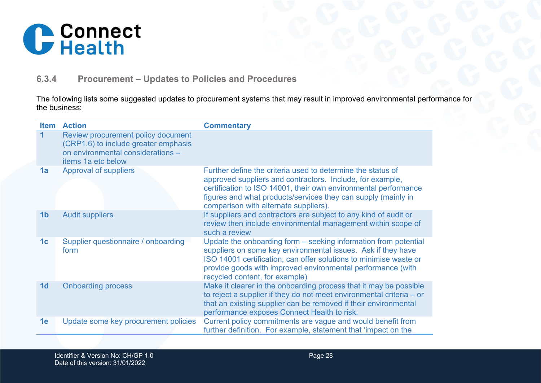

## **6.3.4 Procurement – Updates to Policies and Procedures**

The following lists some suggested updates to procurement systems that may result in improved environmental performance for the business:

<span id="page-27-0"></span>

| <b>Item</b>          | <b>Action</b>                                                                                                                         | <b>Commentary</b>                                                                                                                                                                                                                                                                                     |
|----------------------|---------------------------------------------------------------------------------------------------------------------------------------|-------------------------------------------------------------------------------------------------------------------------------------------------------------------------------------------------------------------------------------------------------------------------------------------------------|
| $\blacktriangleleft$ | Review procurement policy document<br>(CRP1.6) to include greater emphasis<br>on environmental considerations -<br>items 1a etc below |                                                                                                                                                                                                                                                                                                       |
| 1a                   | Approval of suppliers                                                                                                                 | Further define the criteria used to determine the status of<br>approved suppliers and contractors. Include, for example,<br>certification to ISO 14001, their own environmental performance<br>figures and what products/services they can supply (mainly in<br>comparison with alternate suppliers). |
| 1 <sub>b</sub>       | <b>Audit suppliers</b>                                                                                                                | If suppliers and contractors are subject to any kind of audit or<br>review then include environmental management within scope of<br>such a review                                                                                                                                                     |
| 1 <sub>c</sub>       | Supplier questionnaire / onboarding<br>form                                                                                           | Update the onboarding form - seeking information from potential<br>suppliers on some key environmental issues. Ask if they have<br>ISO 14001 certification, can offer solutions to minimise waste or<br>provide goods with improved environmental performance (with<br>recycled content, for example) |
| 1 <sub>d</sub>       | <b>Onboarding process</b>                                                                                                             | Make it clearer in the onboarding process that it may be possible<br>to reject a supplier if they do not meet environmental criteria $-$ or<br>that an existing supplier can be removed if their environmental<br>performance exposes Connect Health to risk.                                         |
| 1e                   | Update some key procurement policies                                                                                                  | Current policy commitments are vague and would benefit from<br>further definition. For example, statement that 'impact on the                                                                                                                                                                         |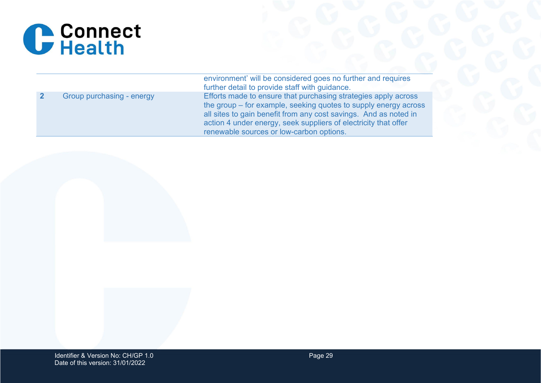

|                           | environment' will be considered goes no further and requires<br>further detail to provide staff with guidance.                                                                                                                                                                                                       |
|---------------------------|----------------------------------------------------------------------------------------------------------------------------------------------------------------------------------------------------------------------------------------------------------------------------------------------------------------------|
| Group purchasing - energy | Efforts made to ensure that purchasing strategies apply across<br>the group – for example, seeking quotes to supply energy across<br>all sites to gain benefit from any cost savings. And as noted in<br>action 4 under energy, seek suppliers of electricity that offer<br>renewable sources or low-carbon options. |

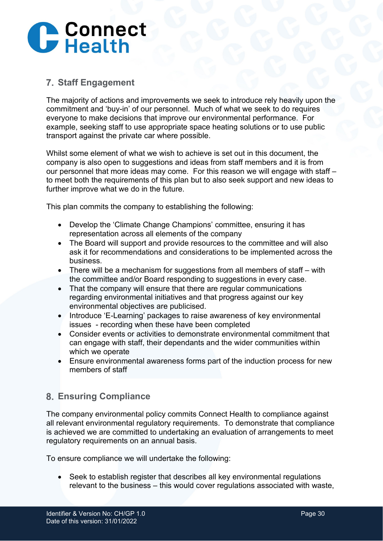## **C** Connect

## <span id="page-29-0"></span>**Staff Engagement**

The majority of actions and improvements we seek to introduce rely heavily upon the commitment and 'buy-in' of our personnel. Much of what we seek to do requires everyone to make decisions that improve our environmental performance. For example, seeking staff to use appropriate space heating solutions or to use public transport against the private car where possible.

Whilst some element of what we wish to achieve is set out in this document, the company is also open to suggestions and ideas from staff members and it is from our personnel that more ideas may come. For this reason we will engage with staff – to meet both the requirements of this plan but to also seek support and new ideas to further improve what we do in the future.

This plan commits the company to establishing the following:

- Develop the 'Climate Change Champions' committee, ensuring it has representation across all elements of the company
- The Board will support and provide resources to the committee and will also ask it for recommendations and considerations to be implemented across the business.
- There will be a mechanism for suggestions from all members of staff with the committee and/or Board responding to suggestions in every case.
- That the company will ensure that there are regular communications regarding environmental initiatives and that progress against our key environmental objectives are publicised.
- Introduce 'E-Learning' packages to raise awareness of key environmental issues - recording when these have been completed
- Consider events or activities to demonstrate environmental commitment that can engage with staff, their dependants and the wider communities within which we operate
- Ensure environmental awareness forms part of the induction process for new members of staff

## <span id="page-29-1"></span>**Ensuring Compliance**

The company environmental policy commits Connect Health to compliance against all relevant environmental regulatory requirements. To demonstrate that compliance is achieved we are committed to undertaking an evaluation of arrangements to meet regulatory requirements on an annual basis.

To ensure compliance we will undertake the following:

• Seek to establish register that describes all key environmental regulations relevant to the business – this would cover regulations associated with waste,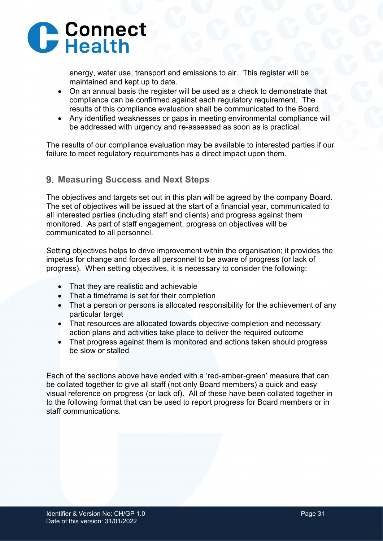

energy, water use, transport and emissions to air. This register will be maintained and kept up to date.

- On an annual basis the register will be used as a check to demonstrate that compliance can be confirmed against each regulatory requirement. The results of this compliance evaluation shall be communicated to the Board.
- Any identified weaknesses or gaps in meeting environmental compliance will be addressed with urgency and re-assessed as soon as is practical.

The results of our compliance evaluation may be available to interested parties if our failure to meet regulatory requirements has a direct impact upon them.

#### <span id="page-30-0"></span>**Measuring Success and Next Steps**

The objectives and targets set out in this plan will be agreed by the company Board. The set of objectives will be issued at the start of a financial year, communicated to all interested parties (including staff and clients) and progress against them monitored. As part of staff engagement, progress on objectives will be communicated to all personnel.

Setting objectives helps to drive improvement within the organisation; it provides the impetus for change and forces all personnel to be aware of progress (or lack of progress). When setting objectives, it is necessary to consider the following:

- That they are realistic and achievable
- That a timeframe is set for their completion
- That a person or persons is allocated responsibility for the achievement of any particular target
- That resources are allocated towards objective completion and necessary action plans and activities take place to deliver the required outcome
- That progress against them is monitored and actions taken should progress be slow or stalled

Each of the sections above have ended with a 'red-amber-green' measure that can be collated together to give all staff (not only Board members) a quick and easy visual reference on progress (or lack of). All of these have been collated together in to the following format that can be used to report progress for Board members or in staff communications.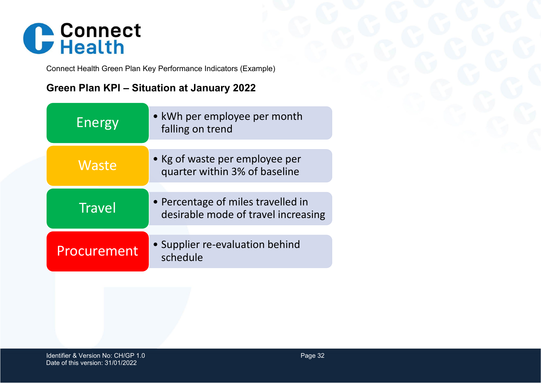

Connect Health Green Plan Key Performance Indicators (Example)

## **Green Plan KPI – Situation at January 2022**

| Energy      | • kWh per employee per month<br>falling on trend                          |
|-------------|---------------------------------------------------------------------------|
|             |                                                                           |
| Waste       | • Kg of waste per employee per<br>quarter within 3% of baseline           |
|             |                                                                           |
| Travel      | • Percentage of miles travelled in<br>desirable mode of travel increasing |
|             |                                                                           |
| Procurement | • Supplier re-evaluation behind<br>schedule                               |